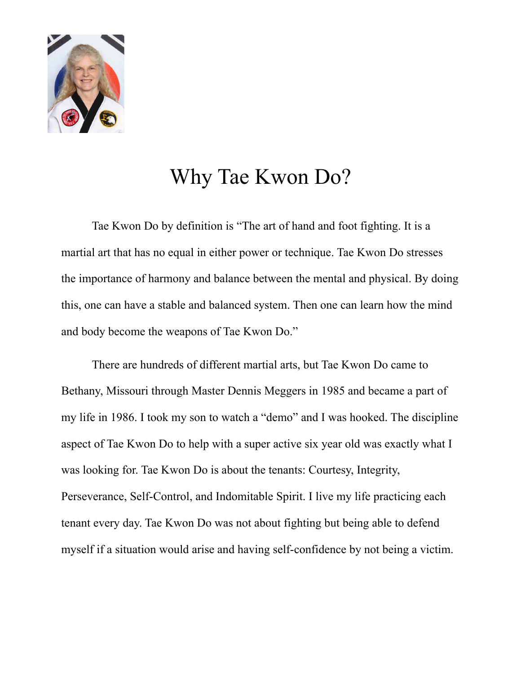

## Why Tae Kwon Do?

Tae Kwon Do by definition is "The art of hand and foot fighting. It is a martial art that has no equal in either power or technique. Tae Kwon Do stresses the importance of harmony and balance between the mental and physical. By doing this, one can have a stable and balanced system. Then one can learn how the mind and body become the weapons of Tae Kwon Do."

There are hundreds of different martial arts, but Tae Kwon Do came to Bethany, Missouri through Master Dennis Meggers in 1985 and became a part of my life in 1986. I took my son to watch a "demo" and I was hooked. The discipline aspect of Tae Kwon Do to help with a super active six year old was exactly what I was looking for. Tae Kwon Do is about the tenants: Courtesy, Integrity, Perseverance, Self-Control, and Indomitable Spirit. I live my life practicing each tenant every day. Tae Kwon Do was not about fighting but being able to defend myself if a situation would arise and having self-confidence by not being a victim.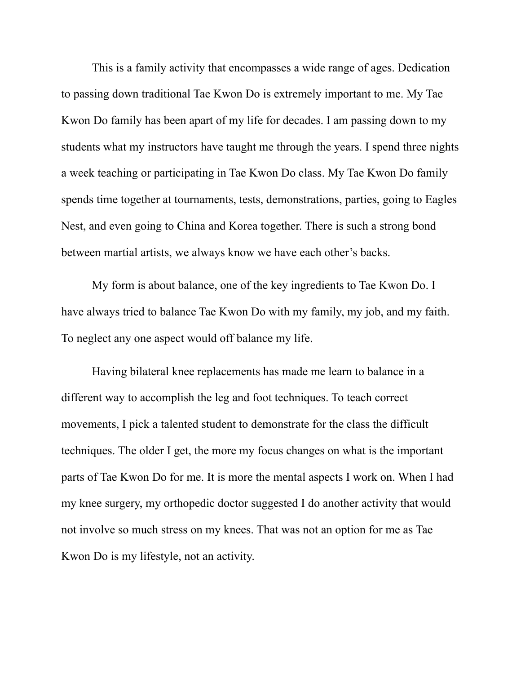This is a family activity that encompasses a wide range of ages. Dedication to passing down traditional Tae Kwon Do is extremely important to me. My Tae Kwon Do family has been apart of my life for decades. I am passing down to my students what my instructors have taught me through the years. I spend three nights a week teaching or participating in Tae Kwon Do class. My Tae Kwon Do family spends time together at tournaments, tests, demonstrations, parties, going to Eagles Nest, and even going to China and Korea together. There is such a strong bond between martial artists, we always know we have each other's backs.

My form is about balance, one of the key ingredients to Tae Kwon Do. I have always tried to balance Tae Kwon Do with my family, my job, and my faith. To neglect any one aspect would off balance my life.

Having bilateral knee replacements has made me learn to balance in a different way to accomplish the leg and foot techniques. To teach correct movements, I pick a talented student to demonstrate for the class the difficult techniques. The older I get, the more my focus changes on what is the important parts of Tae Kwon Do for me. It is more the mental aspects I work on. When I had my knee surgery, my orthopedic doctor suggested I do another activity that would not involve so much stress on my knees. That was not an option for me as Tae Kwon Do is my lifestyle, not an activity.